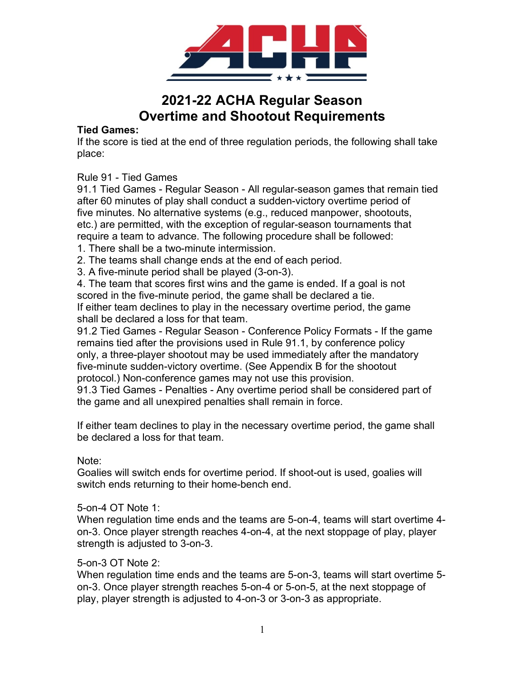

# 2021-22 ACHA Regular Season Overtime and Shootout Requirements

#### Tied Games:

If the score is tied at the end of three regulation periods, the following shall take place:

Rule 91 - Tied Games

91.1 Tied Games - Regular Season - All regular-season games that remain tied after 60 minutes of play shall conduct a sudden-victory overtime period of five minutes. No alternative systems (e.g., reduced manpower, shootouts, etc.) are permitted, with the exception of regular-season tournaments that require a team to advance. The following procedure shall be followed:

1. There shall be a two-minute intermission.

2. The teams shall change ends at the end of each period.

3. A five-minute period shall be played (3-on-3).

4. The team that scores first wins and the game is ended. If a goal is not scored in the five-minute period, the game shall be declared a tie. If either team declines to play in the necessary overtime period, the game shall be declared a loss for that team.

91.2 Tied Games - Regular Season - Conference Policy Formats - If the game remains tied after the provisions used in Rule 91.1, by conference policy only, a three-player shootout may be used immediately after the mandatory five-minute sudden-victory overtime. (See Appendix B for the shootout protocol.) Non-conference games may not use this provision.

91.3 Tied Games - Penalties - Any overtime period shall be considered part of the game and all unexpired penalties shall remain in force.

If either team declines to play in the necessary overtime period, the game shall be declared a loss for that team.

Note:

Goalies will switch ends for overtime period. If shoot-out is used, goalies will switch ends returning to their home-bench end.

#### 5-on-4 OT Note 1:

When regulation time ends and the teams are 5-on-4, teams will start overtime 4 on-3. Once player strength reaches 4-on-4, at the next stoppage of play, player strength is adjusted to 3-on-3.

#### 5-on-3 OT Note 2:

When regulation time ends and the teams are 5-on-3, teams will start overtime 5 on-3. Once player strength reaches 5-on-4 or 5-on-5, at the next stoppage of play, player strength is adjusted to 4-on-3 or 3-on-3 as appropriate.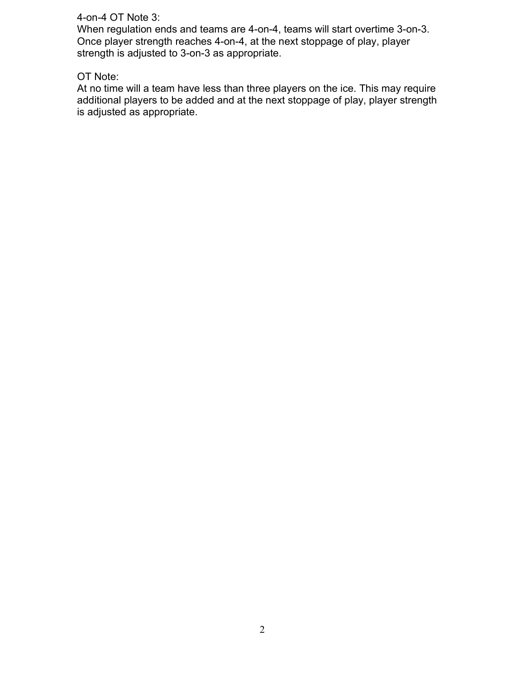#### 4-on-4 OT Note 3:

When regulation ends and teams are 4-on-4, teams will start overtime 3-on-3. Once player strength reaches 4-on-4, at the next stoppage of play, player strength is adjusted to 3-on-3 as appropriate.

#### OT Note:

At no time will a team have less than three players on the ice. This may require additional players to be added and at the next stoppage of play, player strength is adjusted as appropriate.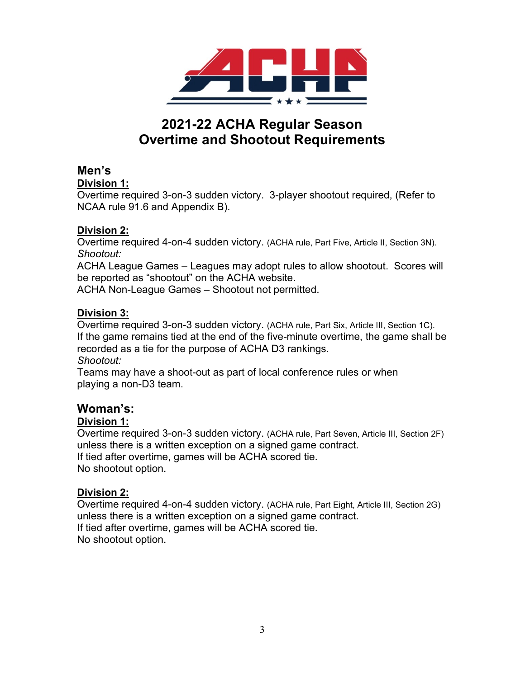

# 2021-22 ACHA Regular Season Overtime and Shootout Requirements

# Men's

#### Division 1:

Overtime required 3-on-3 sudden victory. 3-player shootout required, (Refer to NCAA rule 91.6 and Appendix B).

### Division 2:

Overtime required 4-on-4 sudden victory. (ACHA rule, Part Five, Article II, Section 3N). Shootout:

ACHA League Games – Leagues may adopt rules to allow shootout. Scores will be reported as "shootout" on the ACHA website.

ACHA Non-League Games – Shootout not permitted.

### Division 3:

Overtime required 3-on-3 sudden victory. (ACHA rule, Part Six, Article III, Section 1C). If the game remains tied at the end of the five-minute overtime, the game shall be recorded as a tie for the purpose of ACHA D3 rankings. Shootout:

Teams may have a shoot-out as part of local conference rules or when playing a non-D3 team.

# Woman's:

#### Division 1:

Overtime required 3-on-3 sudden victory. (ACHA rule, Part Seven, Article III, Section 2F) unless there is a written exception on a signed game contract. If tied after overtime, games will be ACHA scored tie. No shootout option.

## Division 2:

Overtime required 4-on-4 sudden victory. (ACHA rule, Part Eight, Article III, Section 2G) unless there is a written exception on a signed game contract. If tied after overtime, games will be ACHA scored tie. No shootout option.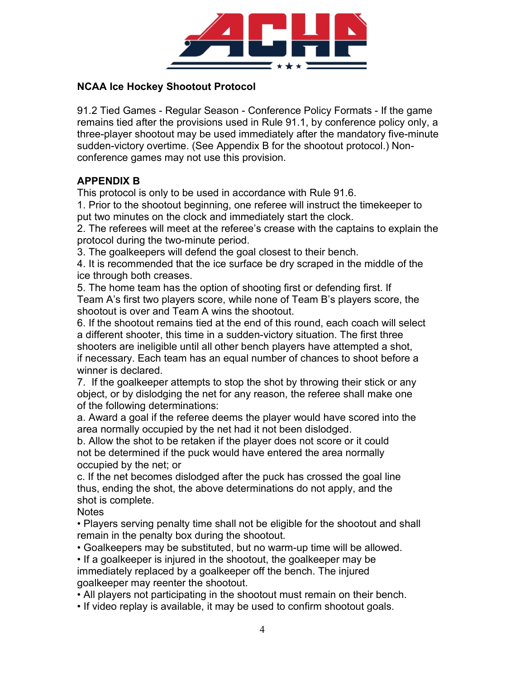

### NCAA Ice Hockey Shootout Protocol

91.2 Tied Games - Regular Season - Conference Policy Formats - If the game remains tied after the provisions used in Rule 91.1, by conference policy only, a three-player shootout may be used immediately after the mandatory five-minute sudden-victory overtime. (See Appendix B for the shootout protocol.) Nonconference games may not use this provision.

## APPENDIX B

This protocol is only to be used in accordance with Rule 91.6.

1. Prior to the shootout beginning, one referee will instruct the timekeeper to put two minutes on the clock and immediately start the clock.

2. The referees will meet at the referee's crease with the captains to explain the protocol during the two-minute period.

3. The goalkeepers will defend the goal closest to their bench.

4. It is recommended that the ice surface be dry scraped in the middle of the ice through both creases.

5. The home team has the option of shooting first or defending first. If Team A's first two players score, while none of Team B's players score, the shootout is over and Team A wins the shootout.

6. If the shootout remains tied at the end of this round, each coach will select a different shooter, this time in a sudden-victory situation. The first three shooters are ineligible until all other bench players have attempted a shot, if necessary. Each team has an equal number of chances to shoot before a winner is declared.

7. If the goalkeeper attempts to stop the shot by throwing their stick or any object, or by dislodging the net for any reason, the referee shall make one of the following determinations:

a. Award a goal if the referee deems the player would have scored into the area normally occupied by the net had it not been dislodged.

b. Allow the shot to be retaken if the player does not score or it could not be determined if the puck would have entered the area normally occupied by the net; or

c. If the net becomes dislodged after the puck has crossed the goal line thus, ending the shot, the above determinations do not apply, and the shot is complete.

**Notes** 

• Players serving penalty time shall not be eligible for the shootout and shall remain in the penalty box during the shootout.

• Goalkeepers may be substituted, but no warm-up time will be allowed.

• If a goalkeeper is injured in the shootout, the goalkeeper may be immediately replaced by a goalkeeper off the bench. The injured goalkeeper may reenter the shootout.

• All players not participating in the shootout must remain on their bench.

• If video replay is available, it may be used to confirm shootout goals.